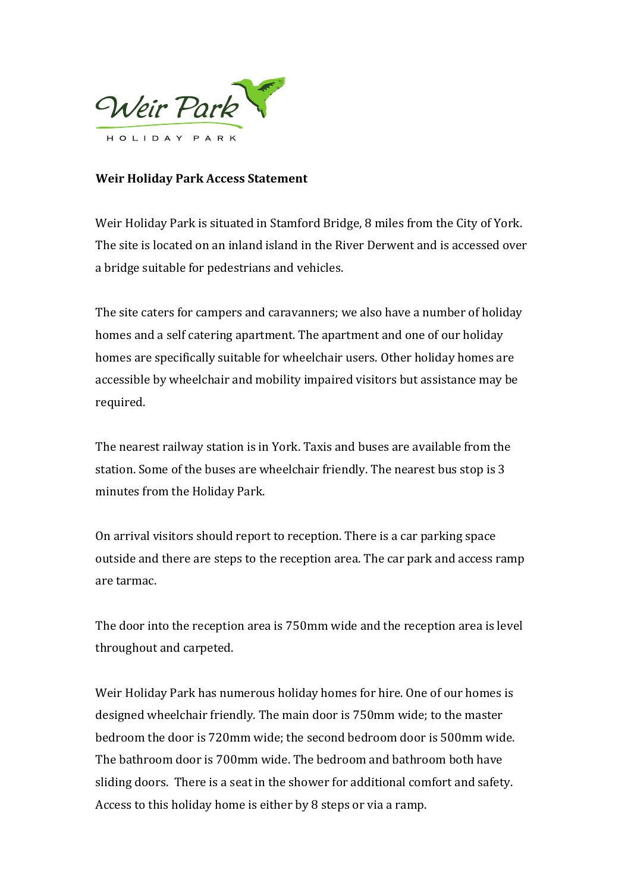

## **Weir Holiday Park Access Statement**

Weir Holiday Park is situated in Stamford Bridge, 8 miles from the City of York. The site is located on an inland island in the River Derwent and is accessed over a bridge suitable for pedestrians and vehicles.

The site caters for campers and caravanners; we also have a number of holiday homes and a self catering apartment. The apartment and one of our holiday homes are specifically suitable for wheelchair users. Other holiday homes are accessible by wheelchair and mobility impaired visitors but assistance may be required.

The nearest railway station is in York. Taxis and buses are available from the station. Some of the buses are wheelchair friendly. The nearest bus stop is 3 minutes from the Holiday Park.

On arrival visitors should report to reception. There is a car parking space outside and there are steps to the reception area. The car park and access ramp are tarmac.

The door into the reception area is 750mm wide and the reception area is level throughout and carpeted.

Weir Holiday Park has numerous holiday homes for hire. One of our homes is designed wheelchair friendly. The main door is 750mm wide; to the master bedroom the door is 720mm wide; the second bedroom door is 500mm wide. The bathroom door is 700mm wide. The bedroom and bathroom both have sliding doors. There is a seat in the shower for additional comfort and safety. Access to this holiday home is either by 8 steps or via a ramp.